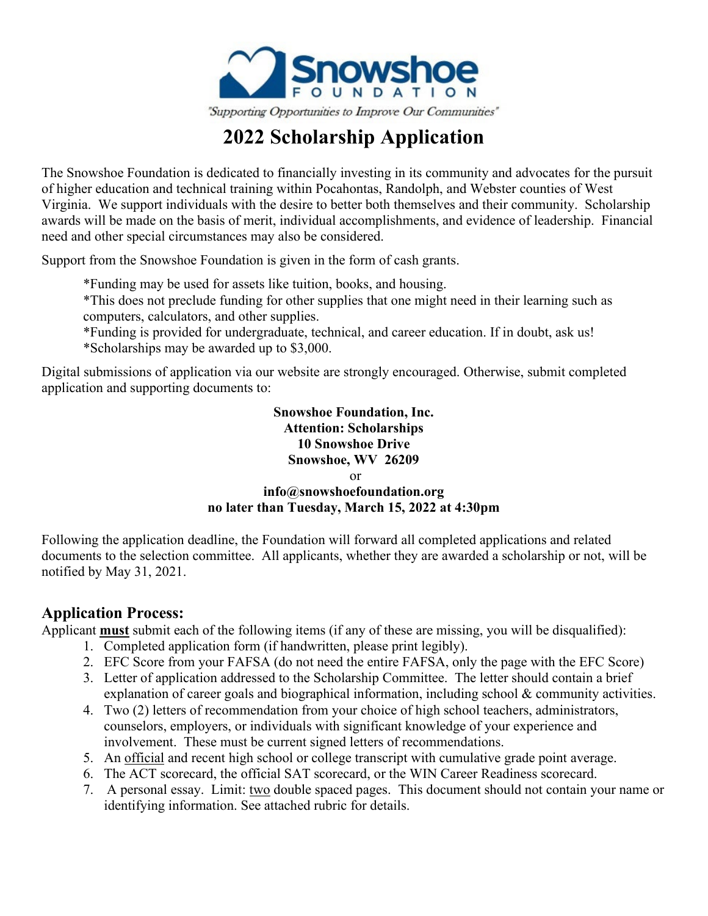

# **2022 Scholarship Application**

The Snowshoe Foundation is dedicated to financially investing in its community and advocates for the pursuit of higher education and technical training within Pocahontas, Randolph, and Webster counties of West Virginia. We support individuals with the desire to better both themselves and their community. Scholarship awards will be made on the basis of merit, individual accomplishments, and evidence of leadership. Financial need and other special circumstances may also be considered.

Support from the Snowshoe Foundation is given in the form of cash grants.

- \*Funding may be used for assets like tuition, books, and housing.
- \*This does not preclude funding for other supplies that one might need in their learning such as computers, calculators, and other supplies.
- \*Funding is provided for undergraduate, technical, and career education. If in doubt, ask us! \*Scholarships may be awarded up to \$3,000.

Digital submissions of application via our website are strongly encouraged. Otherwise, submit completed application and supporting documents to:

#### **Snowshoe Foundation, Inc. Attention: Scholarships 10 Snowshoe Drive Snowshoe, WV 26209**  or **info@snowshoefoundation.org no later than Tuesday, March 15, 2022 at 4:30pm**

Following the application deadline, the Foundation will forward all completed applications and related documents to the selection committee. All applicants, whether they are awarded a scholarship or not, will be notified by May 31, 2021.

#### **Application Process:**

Applicant **must** submit each of the following items (if any of these are missing, you will be disqualified):

- 1. Completed application form (if handwritten, please print legibly).
- 2. EFC Score from your FAFSA (do not need the entire FAFSA, only the page with the EFC Score)
- 3. Letter of application addressed to the Scholarship Committee. The letter should contain a brief explanation of career goals and biographical information, including school & community activities.
- 4. Two (2) letters of recommendation from your choice of high school teachers, administrators, counselors, employers, or individuals with significant knowledge of your experience and involvement. These must be current signed letters of recommendations.
- 5. An official and recent high school or college transcript with cumulative grade point average.
- 6. The ACT scorecard, the official SAT scorecard, or the WIN Career Readiness scorecard.
- 7. A personal essay. Limit: two double spaced pages. This document should not contain your name or identifying information. See attached rubric for details.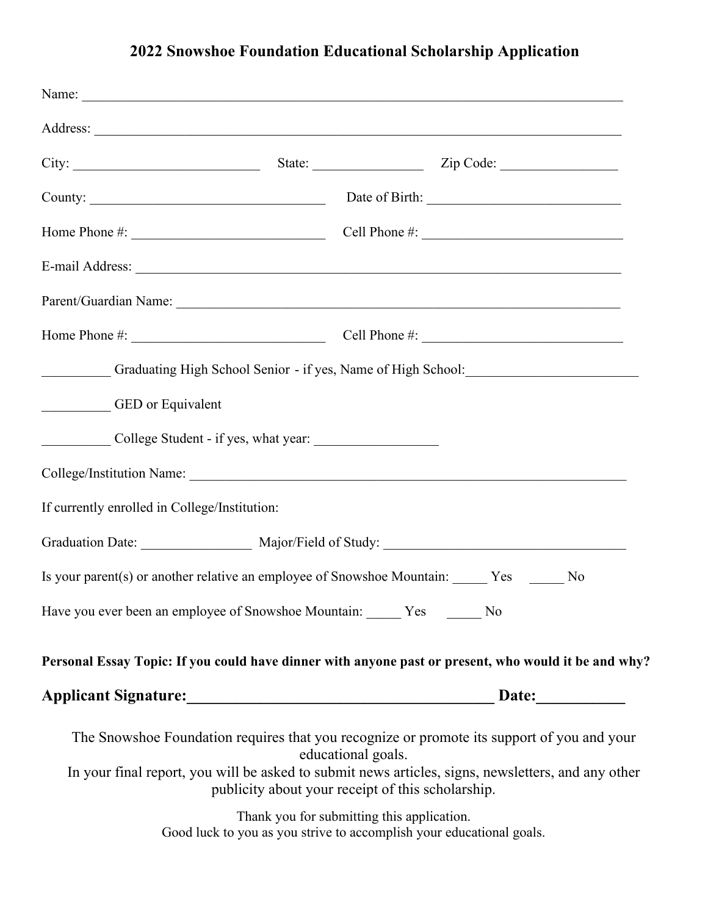## **2022 Snowshoe Foundation Educational Scholarship Application**

|                                                             |                                                                         | E-mail Address: No. 1998. The Contract of the Contract of the Contract of the Contract of the Contract of the Contract of the Contract of the Contract of the Contract of the Contract of the Contract of the Contract of the |
|-------------------------------------------------------------|-------------------------------------------------------------------------|-------------------------------------------------------------------------------------------------------------------------------------------------------------------------------------------------------------------------------|
|                                                             |                                                                         |                                                                                                                                                                                                                               |
|                                                             |                                                                         | Home Phone $\#$ : $\qquad \qquad \qquad \qquad \qquad \qquad \text{Cell Phone } \#$ :                                                                                                                                         |
|                                                             |                                                                         | Graduating High School Senior - if yes, Name of High School: Cambridge School:                                                                                                                                                |
| GED or Equivalent                                           |                                                                         |                                                                                                                                                                                                                               |
| College Student - if yes, what year:                        |                                                                         |                                                                                                                                                                                                                               |
|                                                             |                                                                         |                                                                                                                                                                                                                               |
| If currently enrolled in College/Institution:               |                                                                         |                                                                                                                                                                                                                               |
|                                                             |                                                                         | Graduation Date: Major/Field of Study: Major/Field of Study:                                                                                                                                                                  |
|                                                             |                                                                         | Is your parent(s) or another relative an employee of Snowshoe Mountain: Ves<br>No                                                                                                                                             |
| Have you ever been an employee of Snowshoe Mountain: Yes No |                                                                         |                                                                                                                                                                                                                               |
|                                                             |                                                                         | Personal Essay Topic: If you could have dinner with anyone past or present, who would it be and why?                                                                                                                          |
|                                                             |                                                                         | Date:                                                                                                                                                                                                                         |
|                                                             | educational goals.<br>publicity about your receipt of this scholarship. | The Snowshoe Foundation requires that you recognize or promote its support of you and your<br>In your final report, you will be asked to submit news articles, signs, newsletters, and any other                              |
|                                                             | Thank you for submitting this application.                              | Good luck to you as you strive to accomplish your educational goals.                                                                                                                                                          |